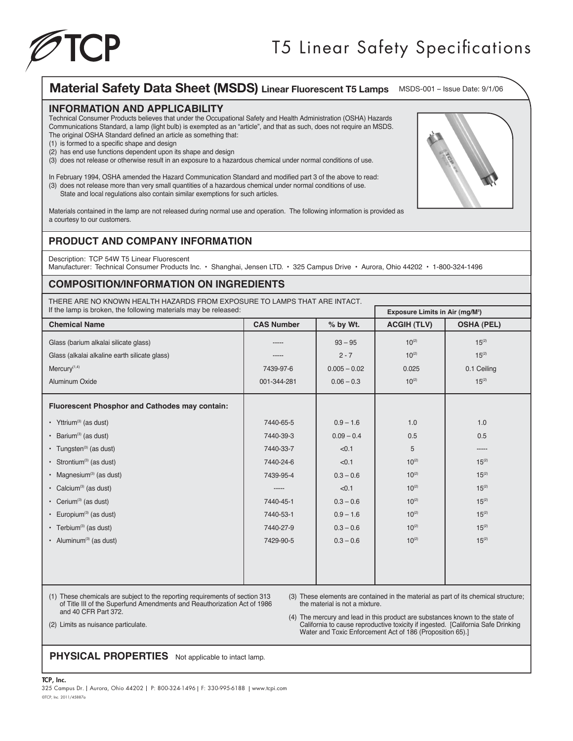

# Material Safety Data Sheet (MSDS) Linear Fluorescent T5 Lamps MSDS-001 - Issue Date: 9/1/06

#### **INFORMATION AND APPLICABILITY**

Technical Consumer Products believes that under the Occupational Safety and Health Administration (OSHA) Hazards Communications Standard, a lamp (light bulb) is exempted as an "article", and that as such, does not require an MSDS. The original OSHA Standard defined an article as something that:

- (1) is formed to a specific shape and design
- (2) has end use functions dependent upon its shape and design
- (3) does not release or otherwise result in an exposure to a hazardous chemical under normal conditions of use.

In February 1994, OSHA amended the Hazard Communication Standard and modified part 3 of the above to read: (3) does not release more than very small quantities of a hazardous chemical under normal conditions of use. State and local regulations also contain similar exemptions for such articles.

Materials contained in the lamp are not released during normal use and operation. The following information is provided as a courtesy to our customers.

## **PRODUCT AND COMPANY INFORMATION**

Description: TCP 54W T5 Linear Fluorescent Manufacturer: Technical Consumer Products Inc. • Shanghai, Jensen LTD. • 325 Campus Drive • Aurora, Ohio 44202 • 1-800-324-1496

## **COMPOSITION/INFORMATION ON INGREDIENTS**

THERE ARE NO KNOWN HEALTH HAZARDS FROM EXPOSURE TO LAMPS THAT ARE INTACT.

| If the lamp is broken, the following materials may be released: |                   |                | Exposure Limits in Air (mg/M <sup>3</sup> ) |                   |
|-----------------------------------------------------------------|-------------------|----------------|---------------------------------------------|-------------------|
| <b>Chemical Name</b>                                            | <b>CAS Number</b> | % by Wt.       | <b>ACGIH (TLV)</b>                          | <b>OSHA (PEL)</b> |
| Glass (barium alkalai silicate glass)                           | -----             | $93 - 95$      | $10^{(2)}$                                  | $15^{(2)}$        |
| Glass (alkalai alkaline earth silicate glass)                   | -----             | $2 - 7$        | $10^{(2)}$                                  | $15^{(2)}$        |
| $Mercury$ <sup><math>(1,4)</math></sup>                         | 7439-97-6         | $0.005 - 0.02$ | 0.025                                       | 0.1 Ceiling       |
| Aluminum Oxide                                                  | 001-344-281       | $0.06 - 0.3$   | $10^{(2)}$                                  | $15^{(2)}$        |
| <b>Fluorescent Phosphor and Cathodes may contain:</b>           |                   |                |                                             |                   |
| • Yttrium <sup>(3)</sup> (as dust)                              | 7440-65-5         | $0.9 - 1.6$    | 1.0                                         | 1.0               |
| • Barium <sup>(3)</sup> (as dust)                               | 7440-39-3         | $0.09 - 0.4$   | 0.5                                         | 0.5               |
| • Tungsten <sup>(3)</sup> (as dust)                             | 7440-33-7         | < 0.1          | 5                                           | -----             |
| • Strontium <sup>(3)</sup> (as dust)                            | 7440-24-6         | < 0.1          | $10^{(2)}$                                  | $15^{(2)}$        |
| • Magnesium $(3)$ (as dust)                                     | 7439-95-4         | $0.3 - 0.6$    | $10^{(2)}$                                  | $15^{(2)}$        |
| • Calcium <sup>(3)</sup> (as dust)                              | -----             | < 0.1          | $10^{(2)}$                                  | $15^{(2)}$        |
| • Cerium <sup>(3)</sup> (as dust)                               | 7440-45-1         | $0.3 - 0.6$    | $10^{(2)}$                                  | $15^{(2)}$        |
| • Europium <sup>(3)</sup> (as dust)                             | 7440-53-1         | $0.9 - 1.6$    | $10^{(2)}$                                  | $15^{(2)}$        |
| • Terbium <sup>(3)</sup> (as dust)                              | 7440-27-9         | $0.3 - 0.6$    | $10^{(2)}$                                  | $15^{(2)}$        |
| • Aluminum <sup>(3)</sup> (as dust)                             | 7429-90-5         | $0.3 - 0.6$    | $10^{(2)}$                                  | $15^{(2)}$        |
|                                                                 |                   |                |                                             |                   |
|                                                                 |                   |                |                                             |                   |
|                                                                 |                   |                |                                             |                   |

(1) These chemicals are subject to the reporting requirements of section 313 of Title III of the Superfund Amendments and Reauthorization Act of 1986 and 40 CFR Part 372.

(3) These elements are contained in the material as part of its chemical structure; the material is not a mixture.

(4) The mercury and lead in this product are substances known to the state of California to cause reproductive toxicity if ingested. [California Safe Drinking Water and Toxic Enforcement Act of 186 (Proposition 65).]

(2) Limits as nuisance particulate.

**PHYSICAL PROPERTIES** Not applicable to intact lamp.

#### TCP, Inc.



<sup>©</sup>TCP, Inc. 2011/45887a 325 Campus Dr. | Aurora, Ohio 44202 | P: 800-324-1496 | F: 330-995-6188 | www.tcpi.com